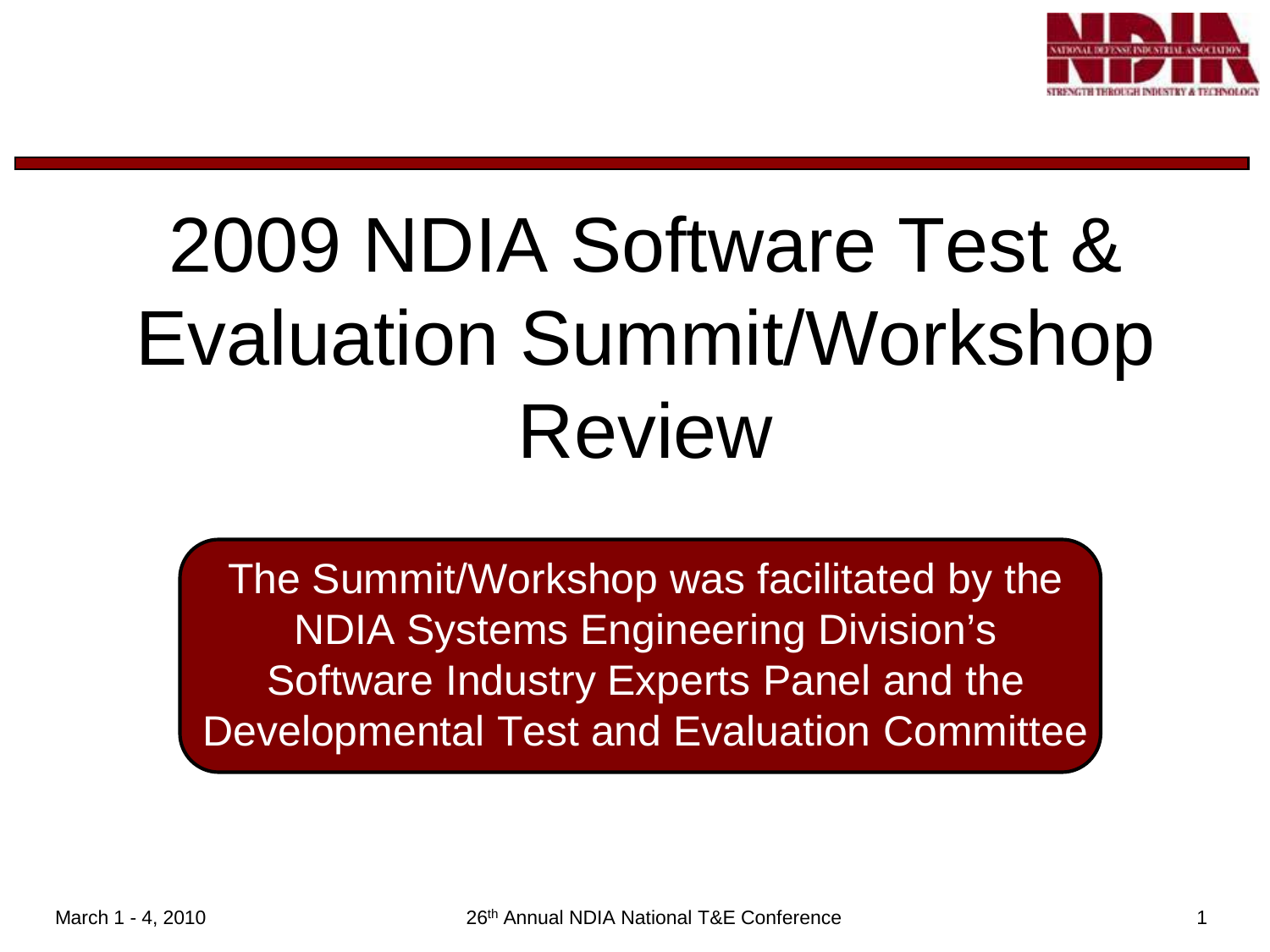

## 2009 NDIA Software Test & Evaluation Summit/Workshop Review

The Summit/Workshop was facilitated by the NDIA Systems Engineering Division's Software Industry Experts Panel and the Developmental Test and Evaluation Committee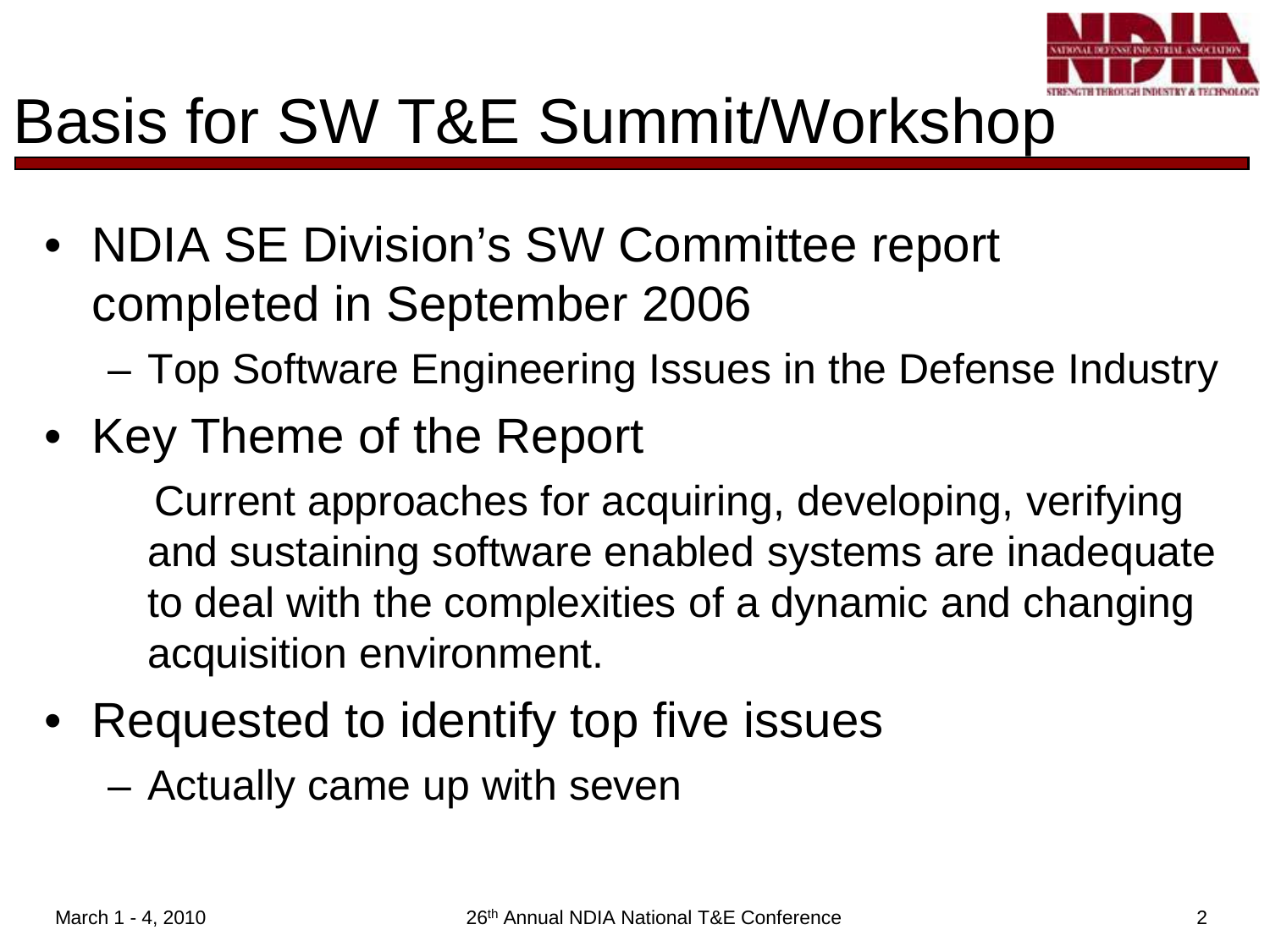

#### Basis for SW T&E Summit/Workshop

- NDIA SE Division's SW Committee report completed in September 2006
	- Top Software Engineering Issues in the Defense Industry
- Key Theme of the Report

Current approaches for acquiring, developing, verifying and sustaining software enabled systems are inadequate to deal with the complexities of a dynamic and changing acquisition environment.

• Requested to identify top five issues

– Actually came up with seven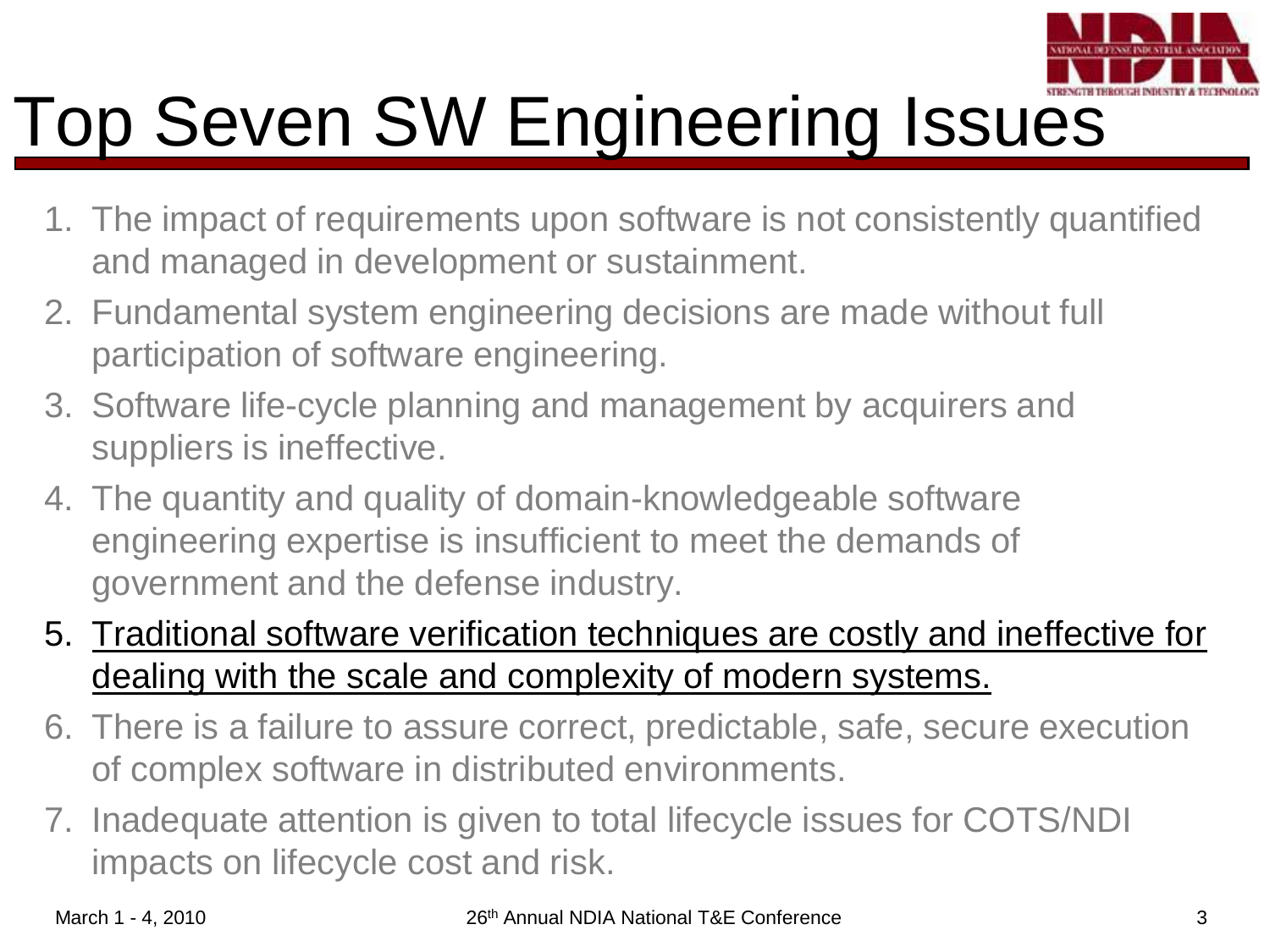

### Top Seven SW Engineering Issues

- 1. The impact of requirements upon software is not consistently quantified and managed in development or sustainment.
- 2. Fundamental system engineering decisions are made without full participation of software engineering.
- 3. Software life-cycle planning and management by acquirers and suppliers is ineffective.
- 4. The quantity and quality of domain-knowledgeable software engineering expertise is insufficient to meet the demands of government and the defense industry.
- 5. Traditional software verification techniques are costly and ineffective for dealing with the scale and complexity of modern systems.
- 6. There is a failure to assure correct, predictable, safe, secure execution of complex software in distributed environments.
- 7. Inadequate attention is given to total lifecycle issues for COTS/NDI impacts on lifecycle cost and risk.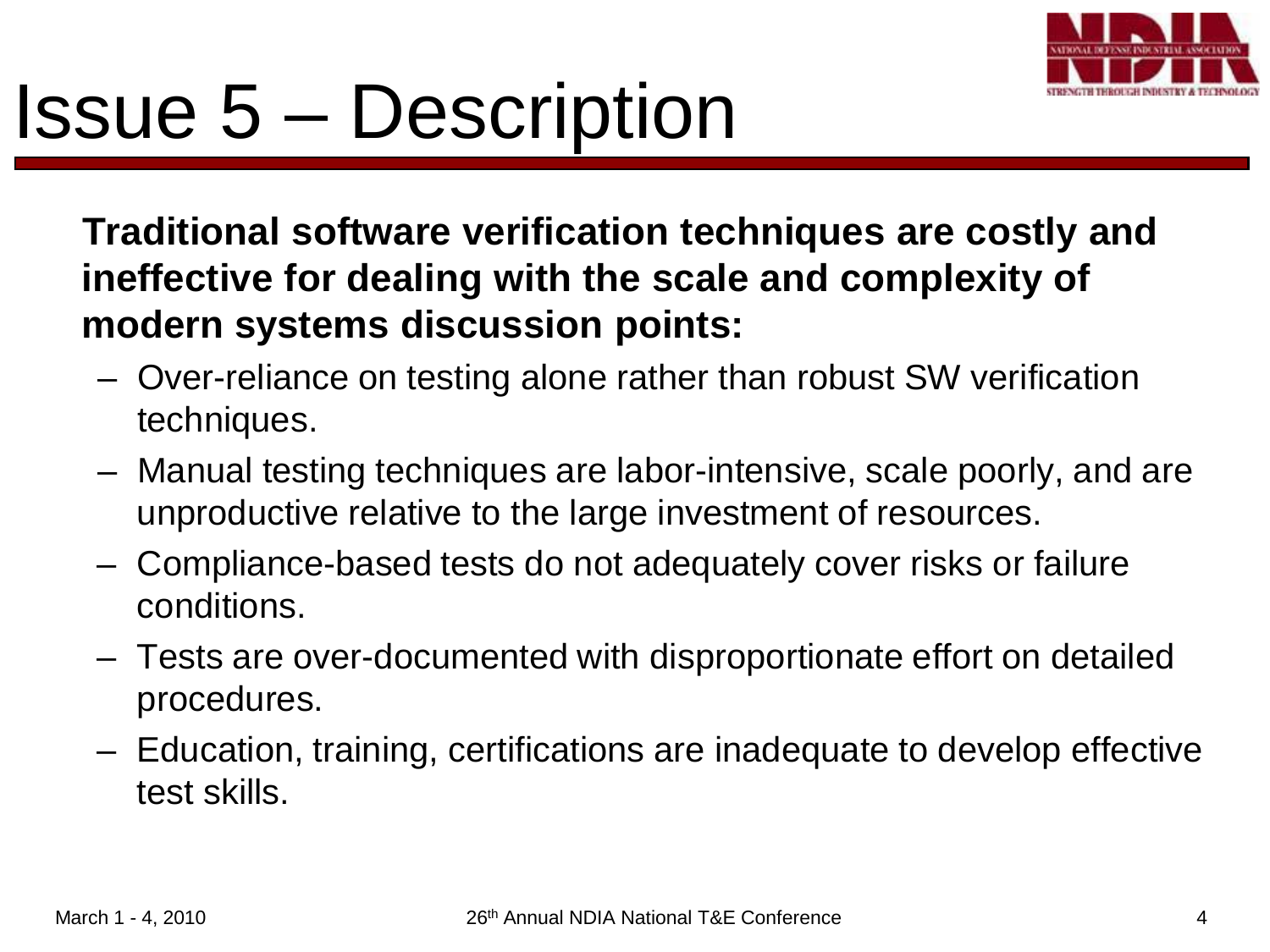

### Issue 5 – Description

**Traditional software verification techniques are costly and ineffective for dealing with the scale and complexity of modern systems discussion points:**

- Over-reliance on testing alone rather than robust SW verification techniques.
- Manual testing techniques are labor-intensive, scale poorly, and are unproductive relative to the large investment of resources.
- Compliance-based tests do not adequately cover risks or failure conditions.
- Tests are over-documented with disproportionate effort on detailed procedures.
- Education, training, certifications are inadequate to develop effective test skills.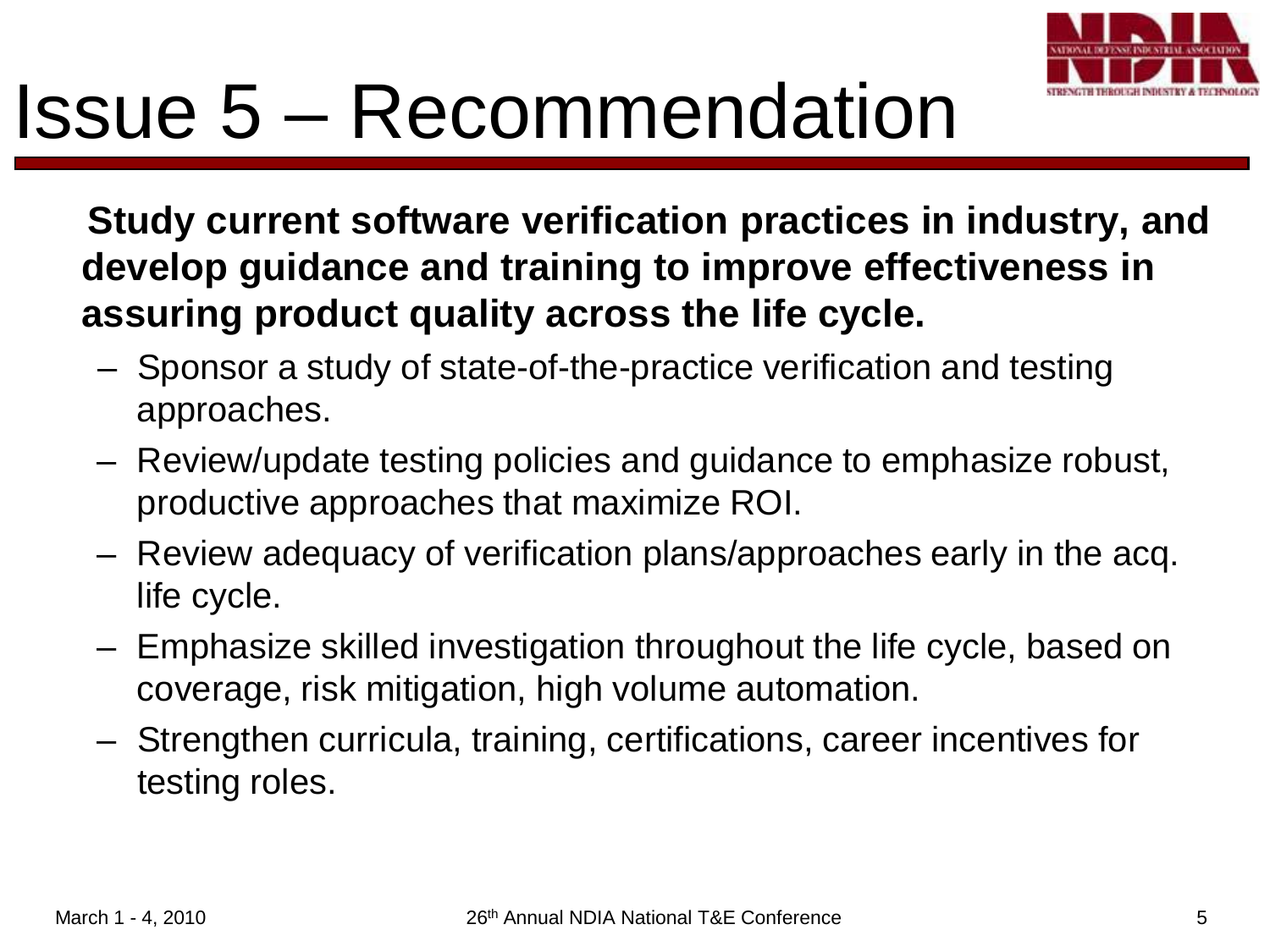

### Issue 5 – Recommendation

**Study current software verification practices in industry, and develop guidance and training to improve effectiveness in assuring product quality across the life cycle.**

- Sponsor a study of state-of-the-practice verification and testing approaches.
- Review/update testing policies and guidance to emphasize robust, productive approaches that maximize ROI.
- Review adequacy of verification plans/approaches early in the acq. life cycle.
- Emphasize skilled investigation throughout the life cycle, based on coverage, risk mitigation, high volume automation.
- Strengthen curricula, training, certifications, career incentives for testing roles.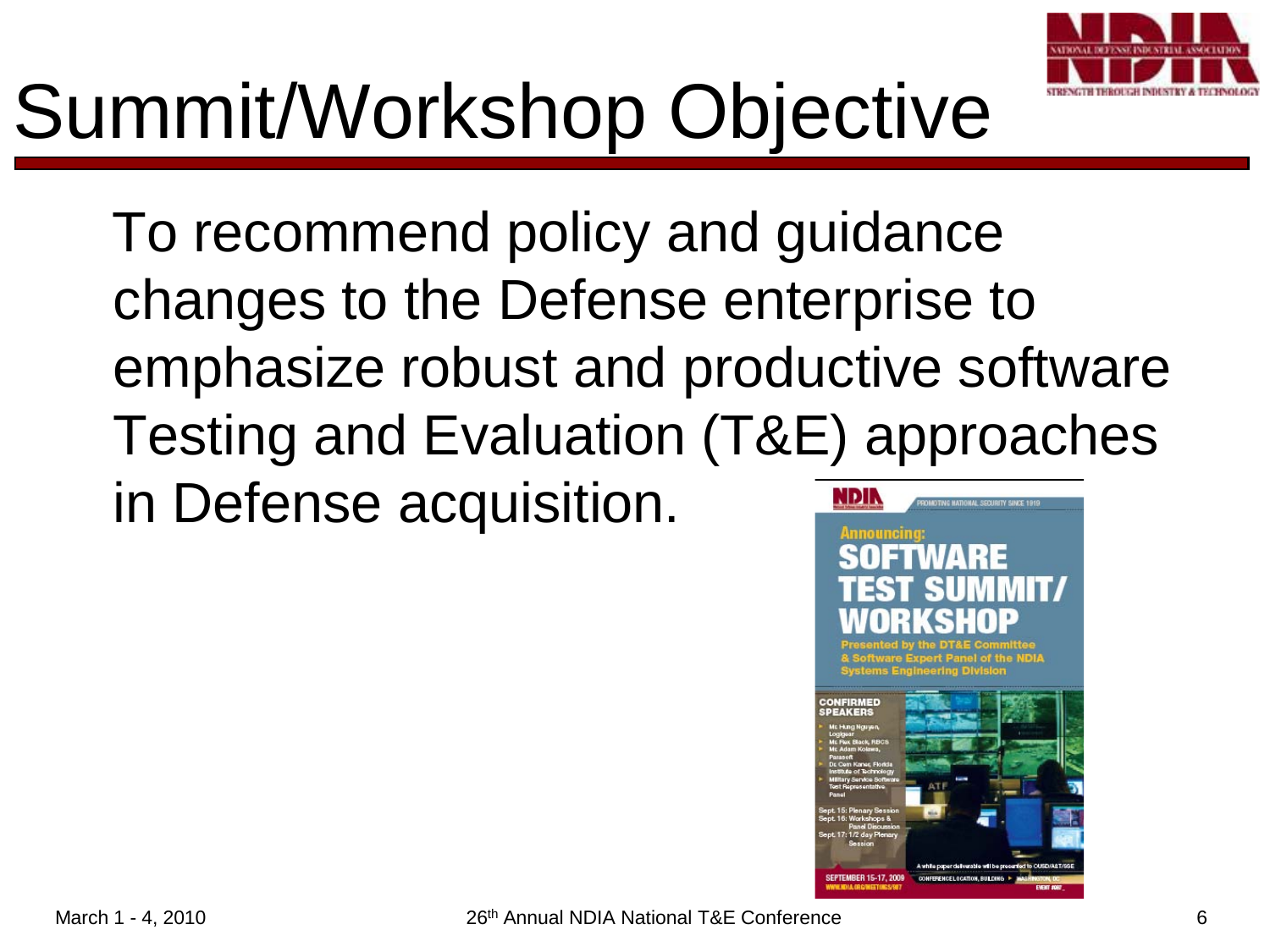

# Summit/Workshop Objective

To recommend policy and guidance changes to the Defense enterprise to emphasize robust and productive software Testing and Evaluation (T&E) approaches in Defense acquisition.NDIN **C HATIOHAL SECURITY SINCE 1910** 

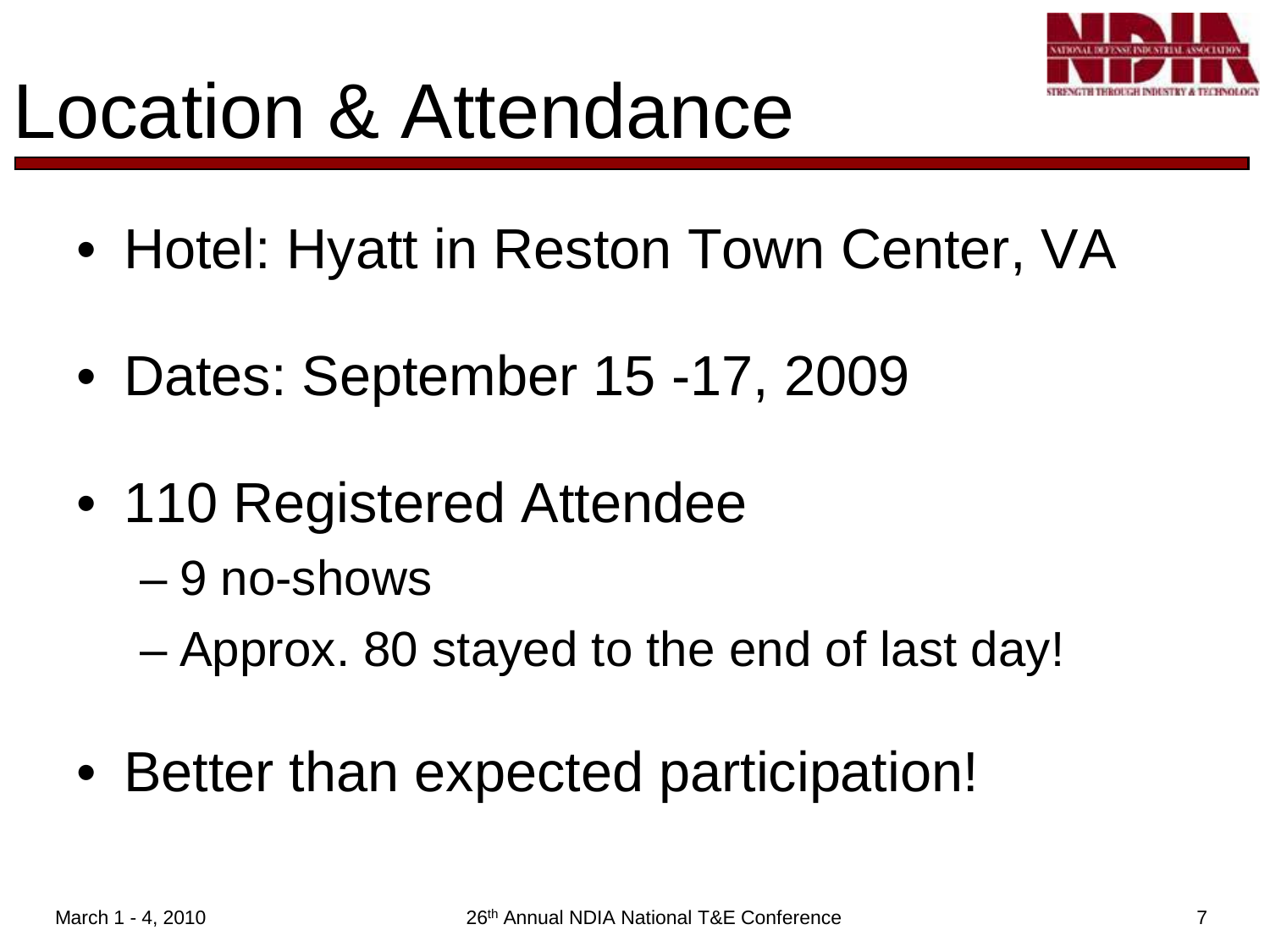

### Location & Attendance

- Hotel: Hyatt in Reston Town Center, VA
- Dates: September 15 -17, 2009
- 110 Registered Attendee
	- 9 no-shows
	- Approx. 80 stayed to the end of last day!
- Better than expected participation!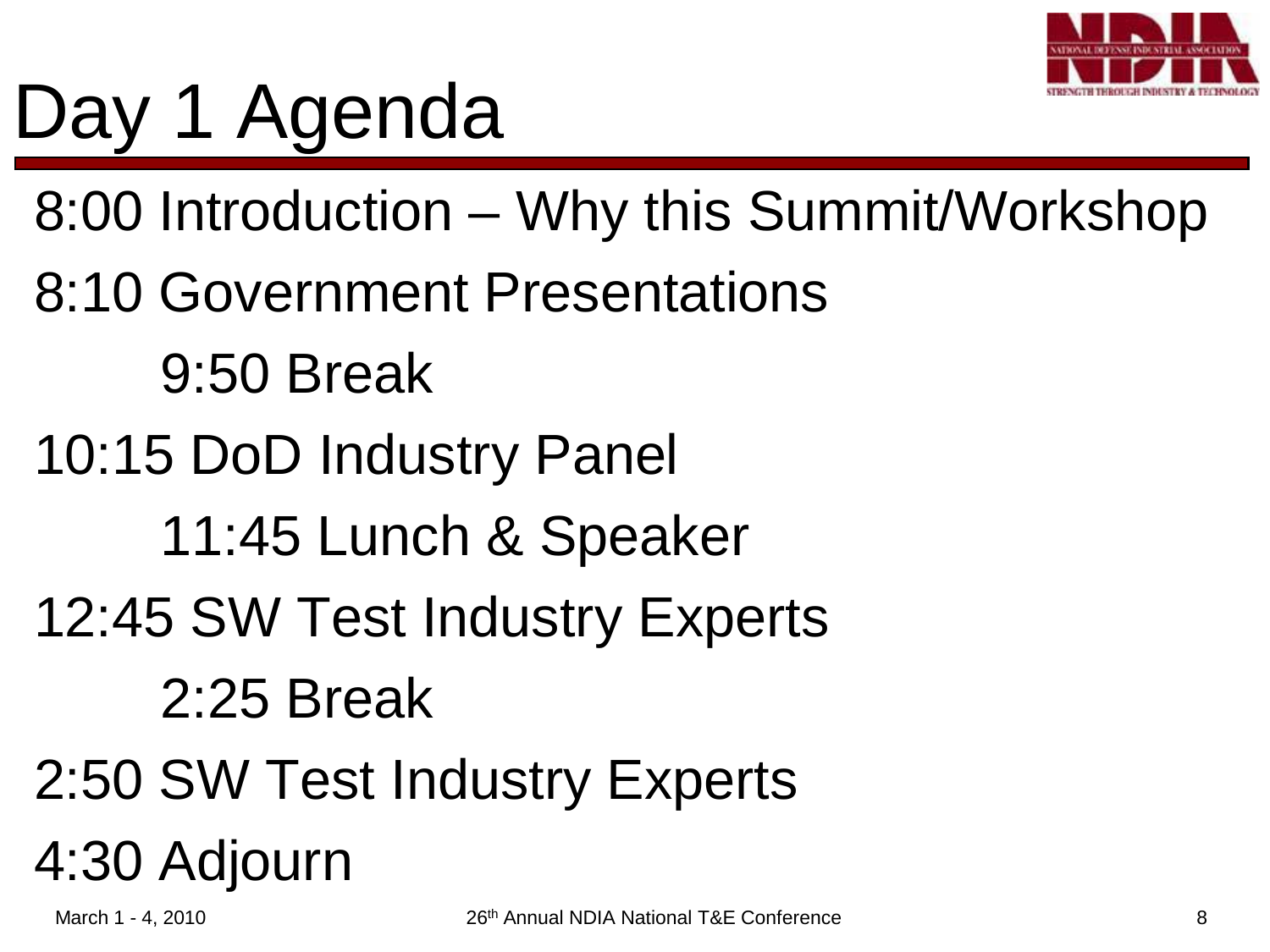

# Day 1 Agenda

8:00 Introduction – Why this Summit/Workshop

- 8:10 Government Presentations
	- 9:50 Break
- 10:15 DoD Industry Panel
	- 11:45 Lunch & Speaker
- 12:45 SW Test Industry Experts
	- 2:25 Break
- 2:50 SW Test Industry Experts 4:30 Adjourn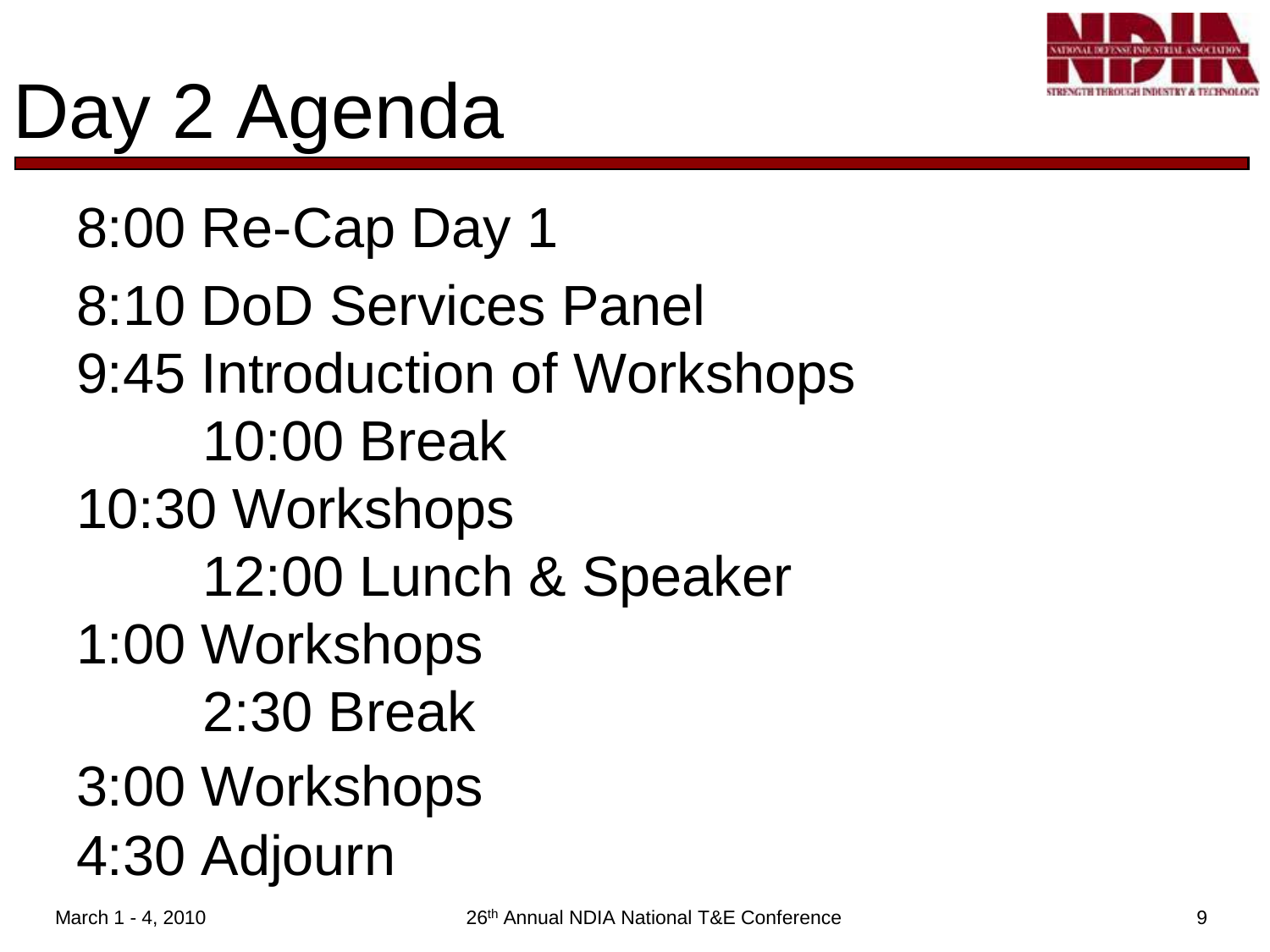

# Day 2 Agenda

8:00 Re-Cap Day 1 8:10 DoD Services Panel 9:45 Introduction of Workshops 10:00 Break 10:30 Workshops 12:00 Lunch & Speaker 1:00 Workshops 2:30 Break 3:00 Workshops 4:30 Adjourn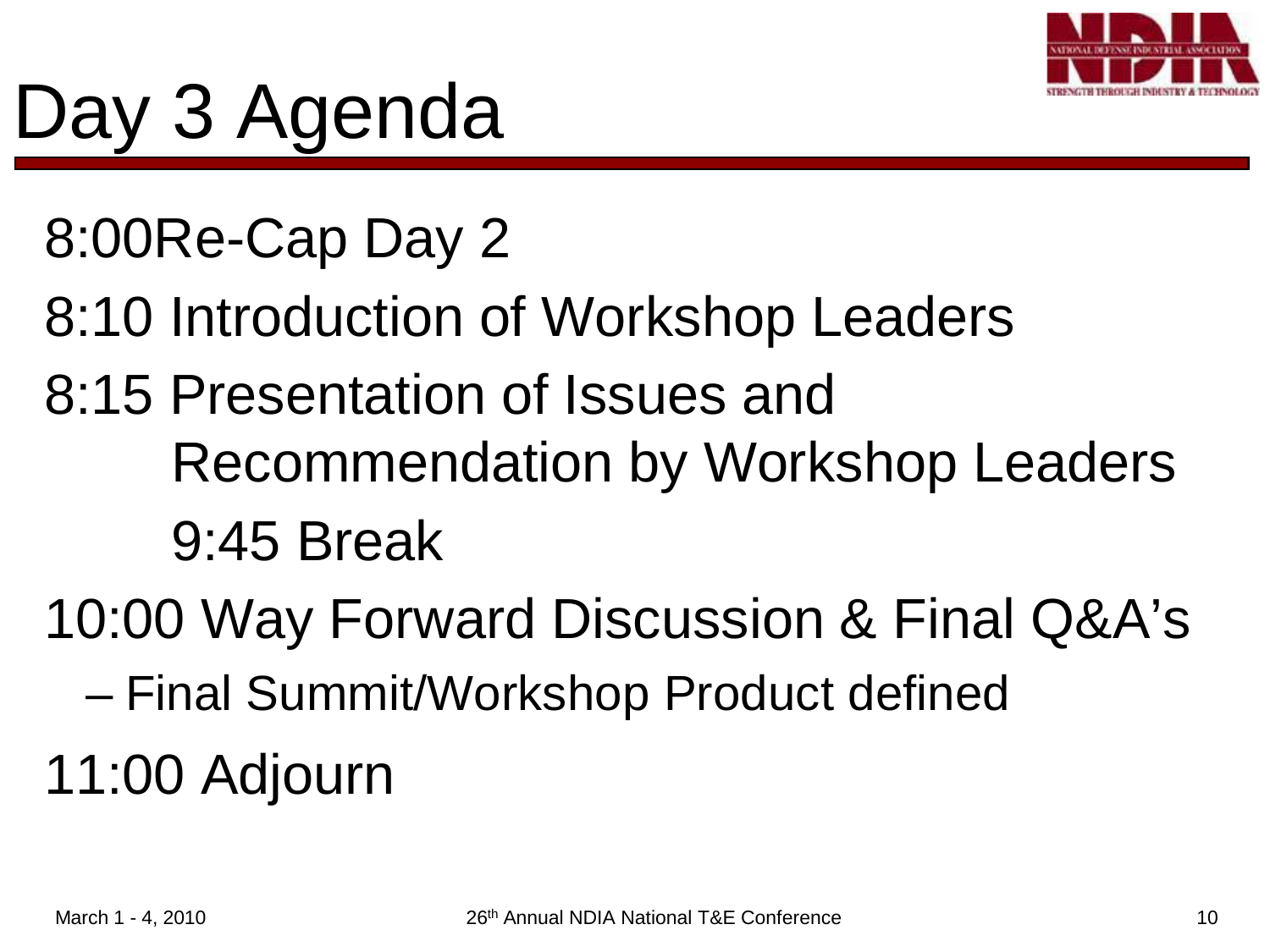

# Day 3 Agenda

#### 8:00Re-Cap Day 2

- 8:10 Introduction of Workshop Leaders
- 8:15 Presentation of Issues and Recommendation by Workshop Leaders 9:45 Break
- 10:00 Way Forward Discussion & Final Q&A's
	- Final Summit/Workshop Product defined
- 11:00 Adjourn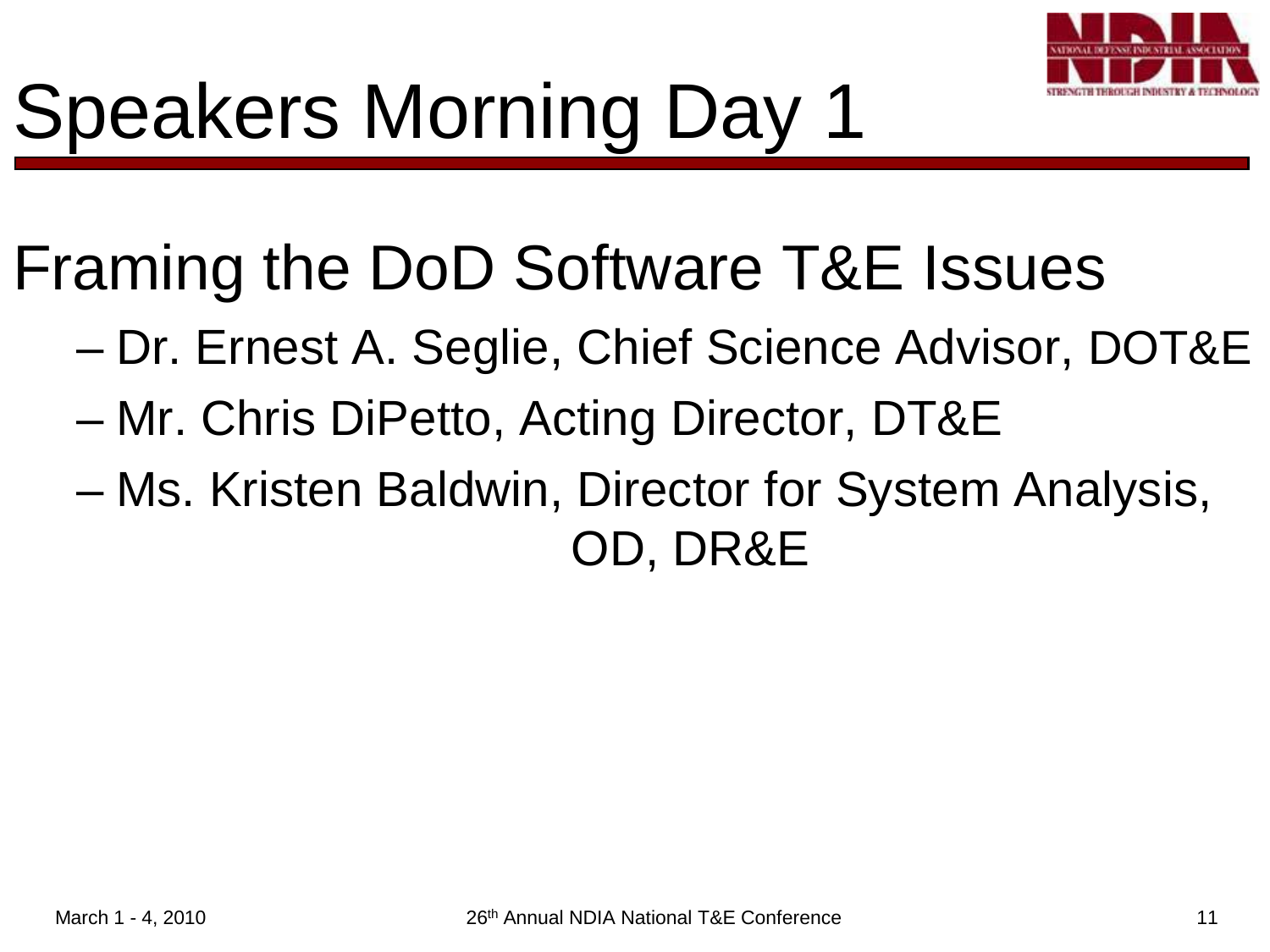

Framing the DoD Software T&E Issues

- Dr. Ernest A. Seglie, Chief Science Advisor, DOT&E
- Mr. Chris DiPetto, Acting Director, DT&E
- Ms. Kristen Baldwin, Director for System Analysis, OD, DR&E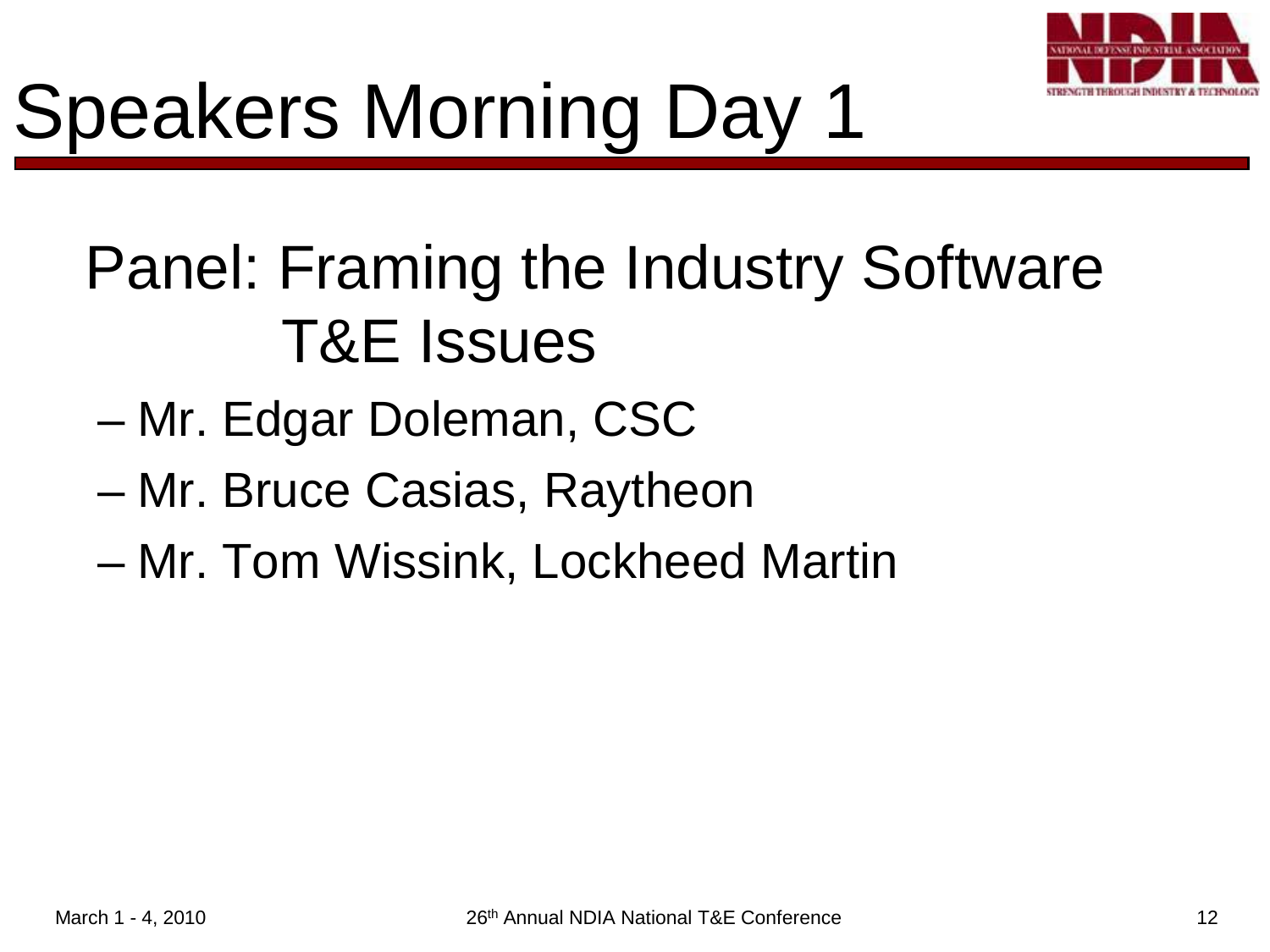

# Speakers Morning Day 1

#### Panel: Framing the Industry Software T&E Issues

- Mr. Edgar Doleman, CSC
- Mr. Bruce Casias, Raytheon
- Mr. Tom Wissink, Lockheed Martin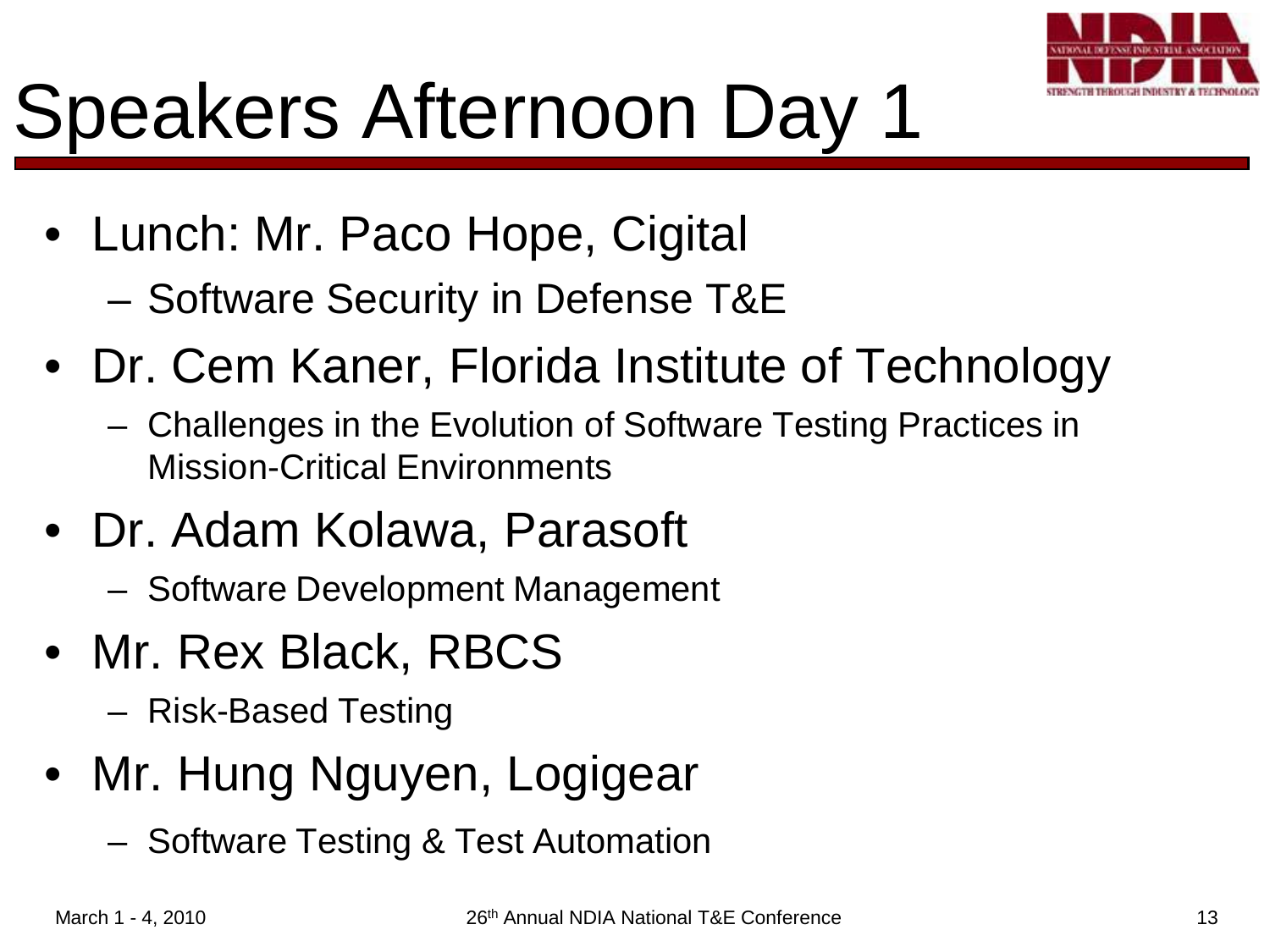

## Speakers Afternoon Day 1

- Lunch: Mr. Paco Hope, Cigital – Software Security in Defense T&E
- Dr. Cem Kaner, Florida Institute of Technology
	- Challenges in the Evolution of Software Testing Practices in Mission-Critical Environments
- Dr. Adam Kolawa, Parasoft
	- Software Development Management
- Mr. Rex Black, RBCS
	- Risk-Based Testing
- Mr. Hung Nguyen, Logigear
	- Software Testing & Test Automation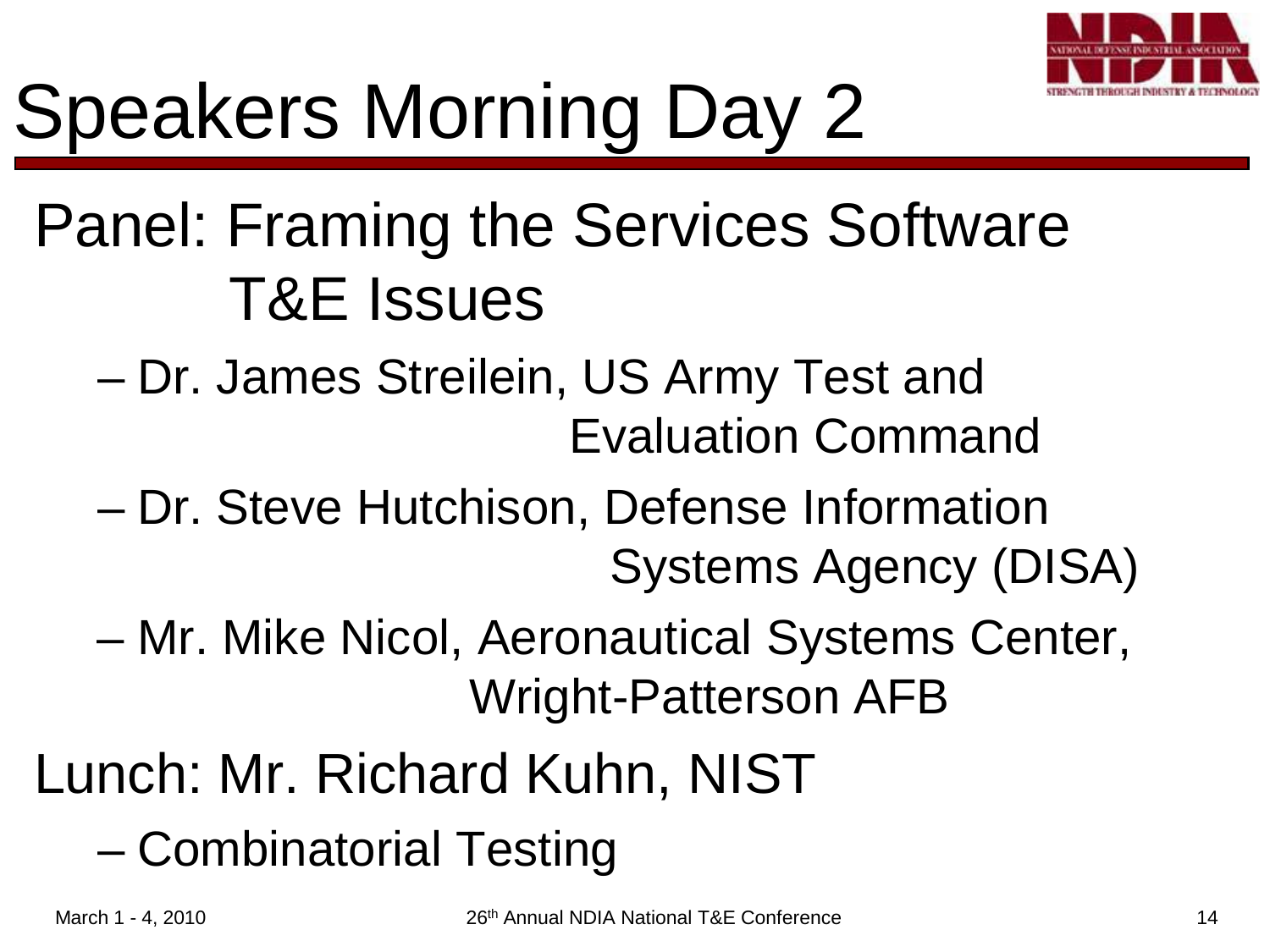

# Speakers Morning Day 2

#### Panel: Framing the Services Software T&E Issues

- Dr. James Streilein, US Army Test and Evaluation Command
- Dr. Steve Hutchison, Defense Information Systems Agency (DISA)
- Mr. Mike Nicol, Aeronautical Systems Center, Wright-Patterson AFB
- Lunch: Mr. Richard Kuhn, NIST
	- Combinatorial Testing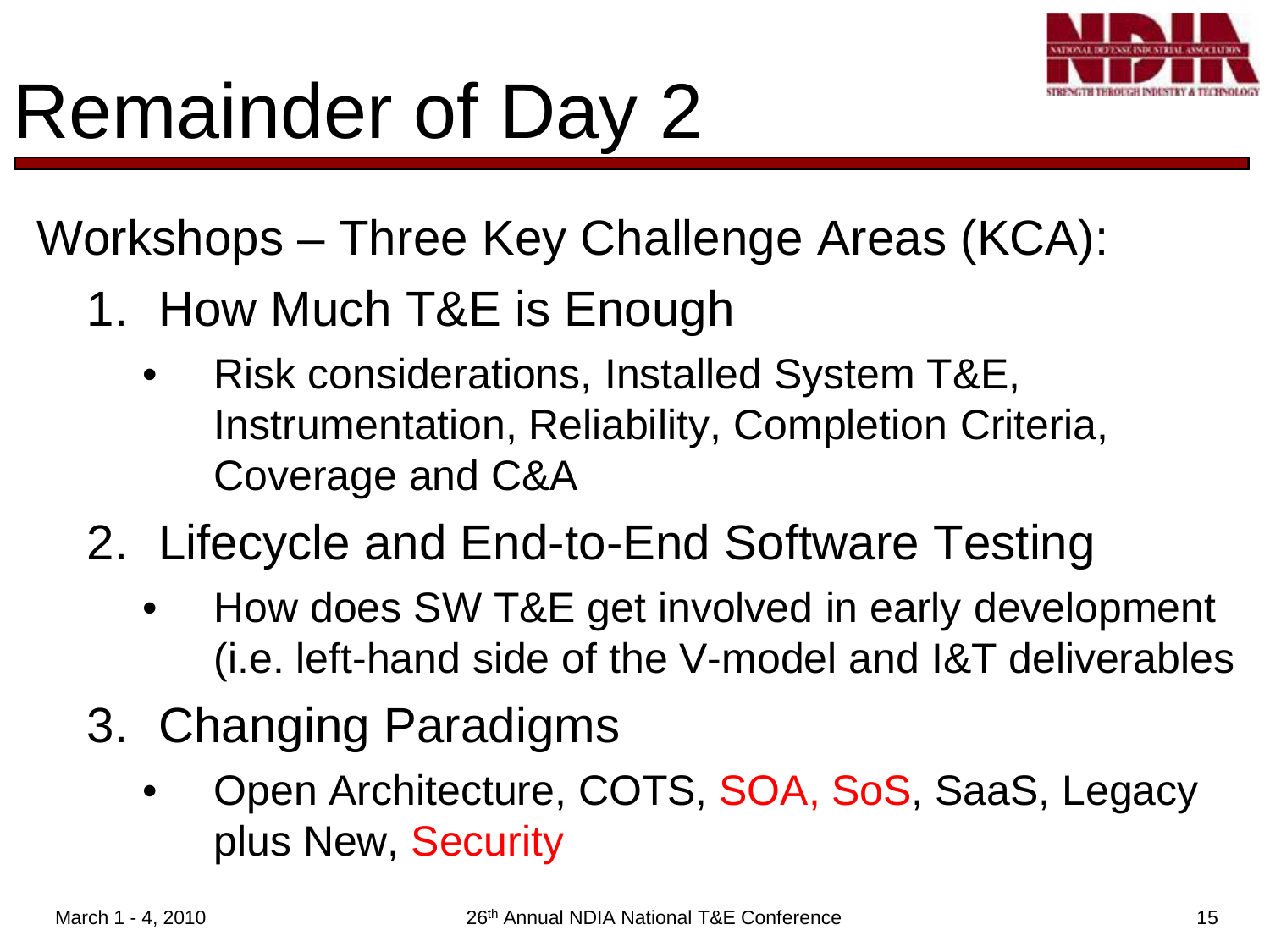

# Remainder of Day 2

Workshops – Three Key Challenge Areas (KCA):

- 1. How Much T&E is Enough
	- Risk considerations, Installed System T&E, Instrumentation, Reliability, Completion Criteria, Coverage and C&A
- 2. Lifecycle and End-to-End Software Testing
	- How does SW T&E get involved in early development (i.e. left-hand side of the V-model and I&T deliverables
- 3. Changing Paradigms
	- Open Architecture, COTS, SOA, SoS, SaaS, Legacy plus New, Security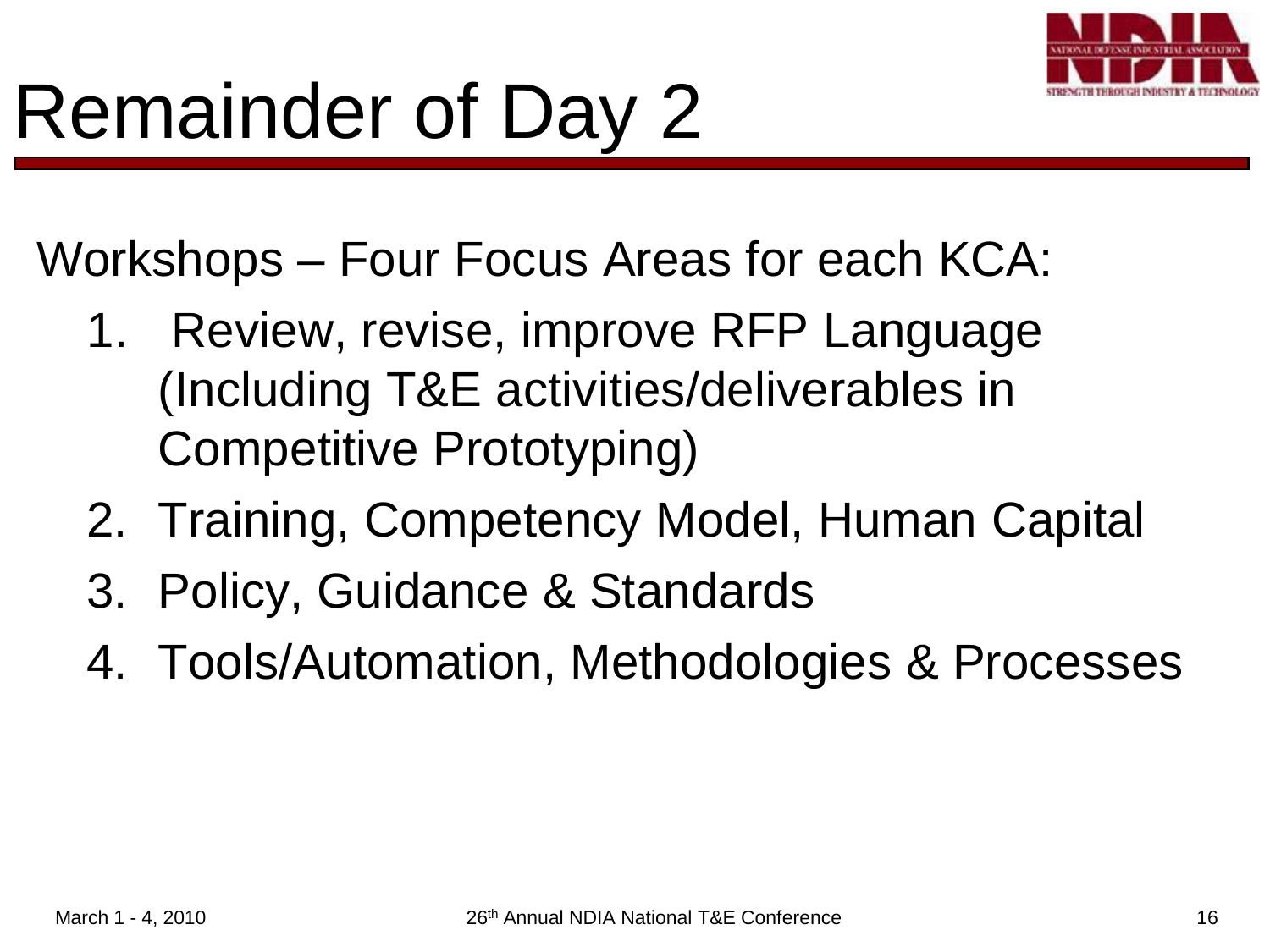

Workshops – Four Focus Areas for each KCA:

- 1. Review, revise, improve RFP Language (Including T&E activities/deliverables in Competitive Prototyping)
- 2. Training, Competency Model, Human Capital
- 3. Policy, Guidance & Standards
- 4. Tools/Automation, Methodologies & Processes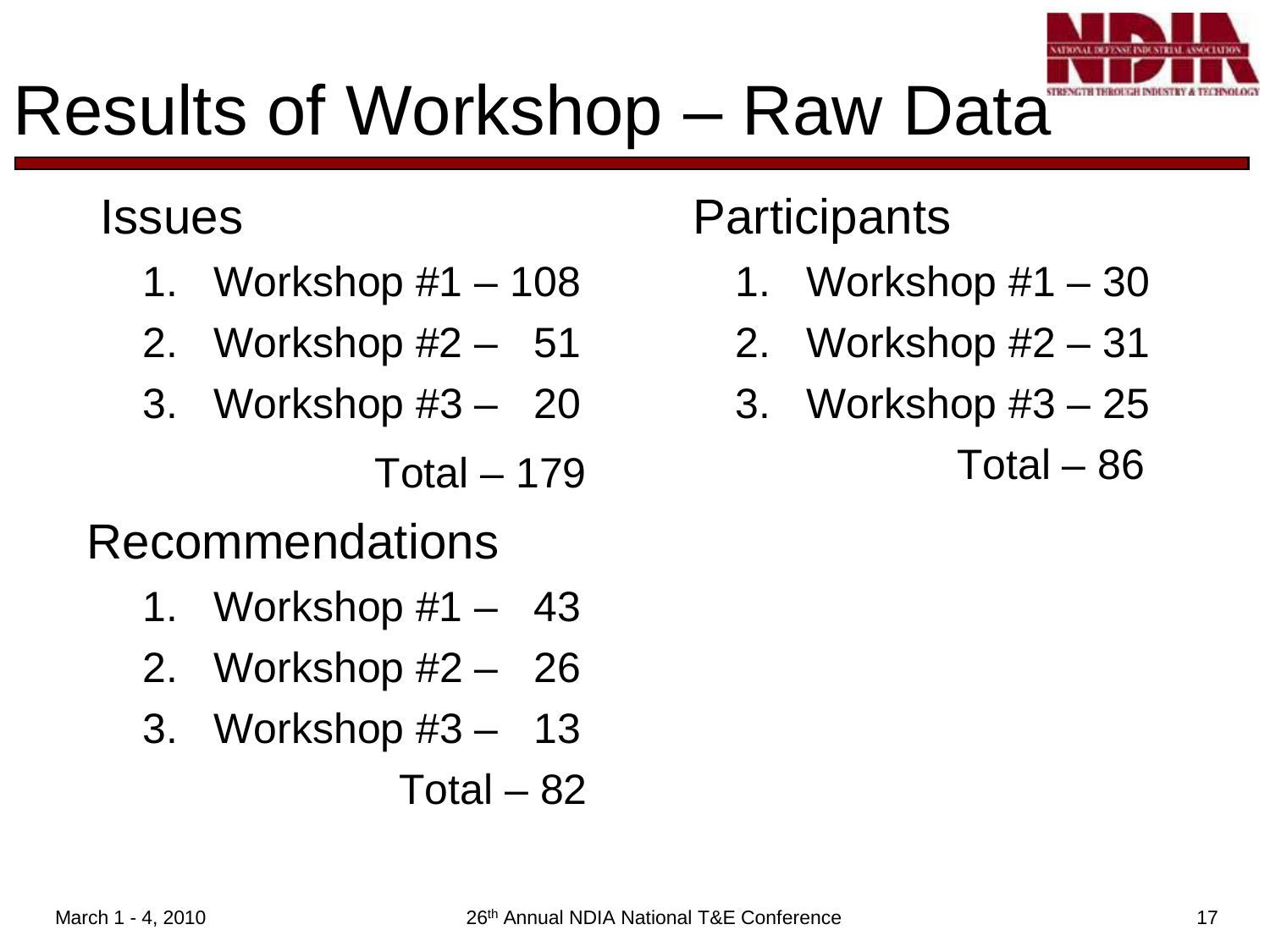

#### Results of Workshop – Raw Data

#### Issues

- 1. Workshop #1 108
- 2. Workshop #2 51
- 3. Workshop #3 20

 $Total - 179$ 

#### Recommendations

- 1. Workshop #1 43
- 2. Workshop #2 26
- 3. Workshop #3 13

Total – 82

#### **Participants**

- 1. Workshop #1 30
- 2. Workshop #2 31
- 3. Workshop #3 25

Total – 86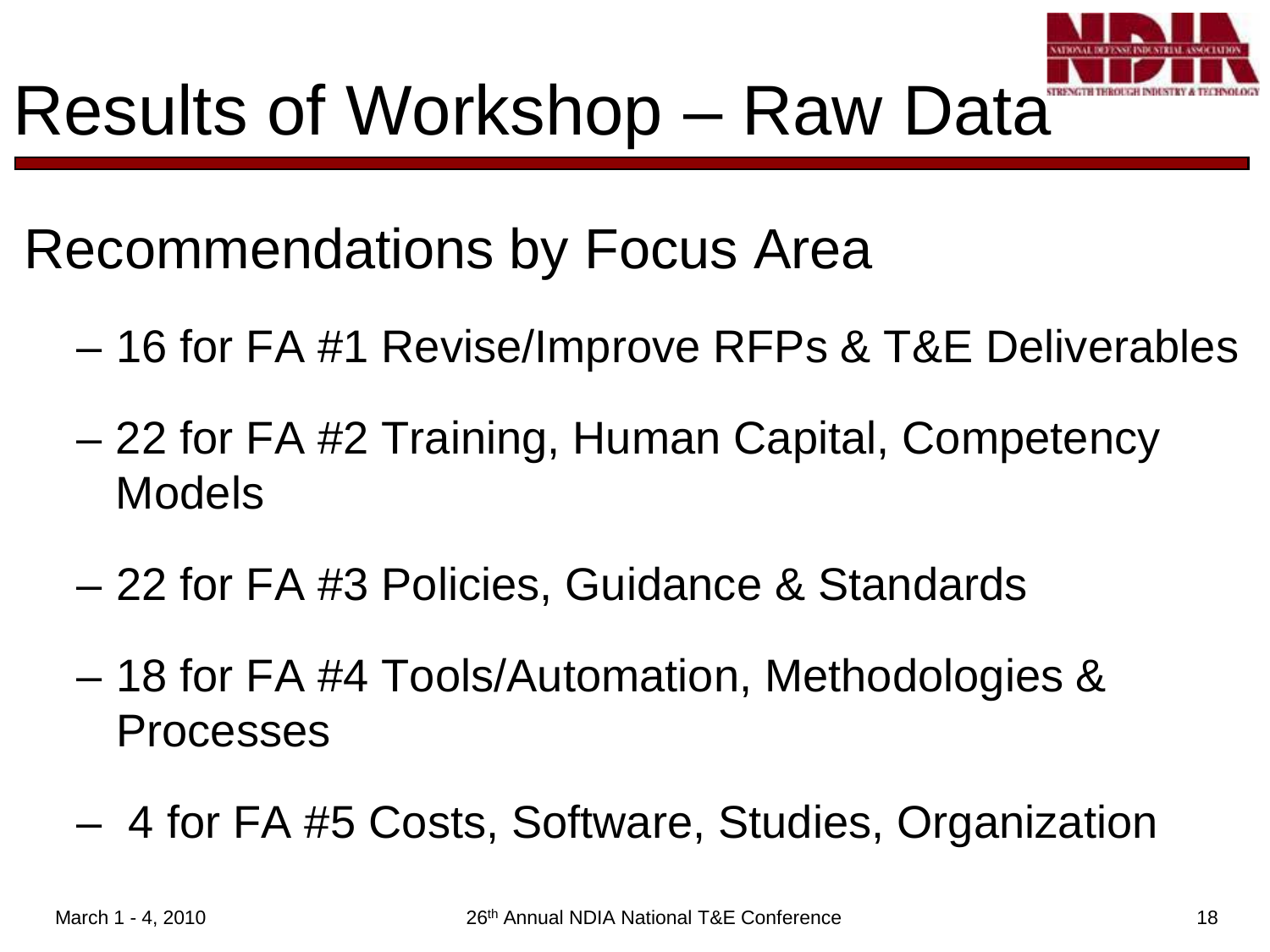

Recommendations by Focus Area

- 16 for FA #1 Revise/Improve RFPs & T&E Deliverables
- 22 for FA #2 Training, Human Capital, Competency Models
- 22 for FA #3 Policies, Guidance & Standards
- 18 for FA #4 Tools/Automation, Methodologies & Processes
- 4 for FA #5 Costs, Software, Studies, Organization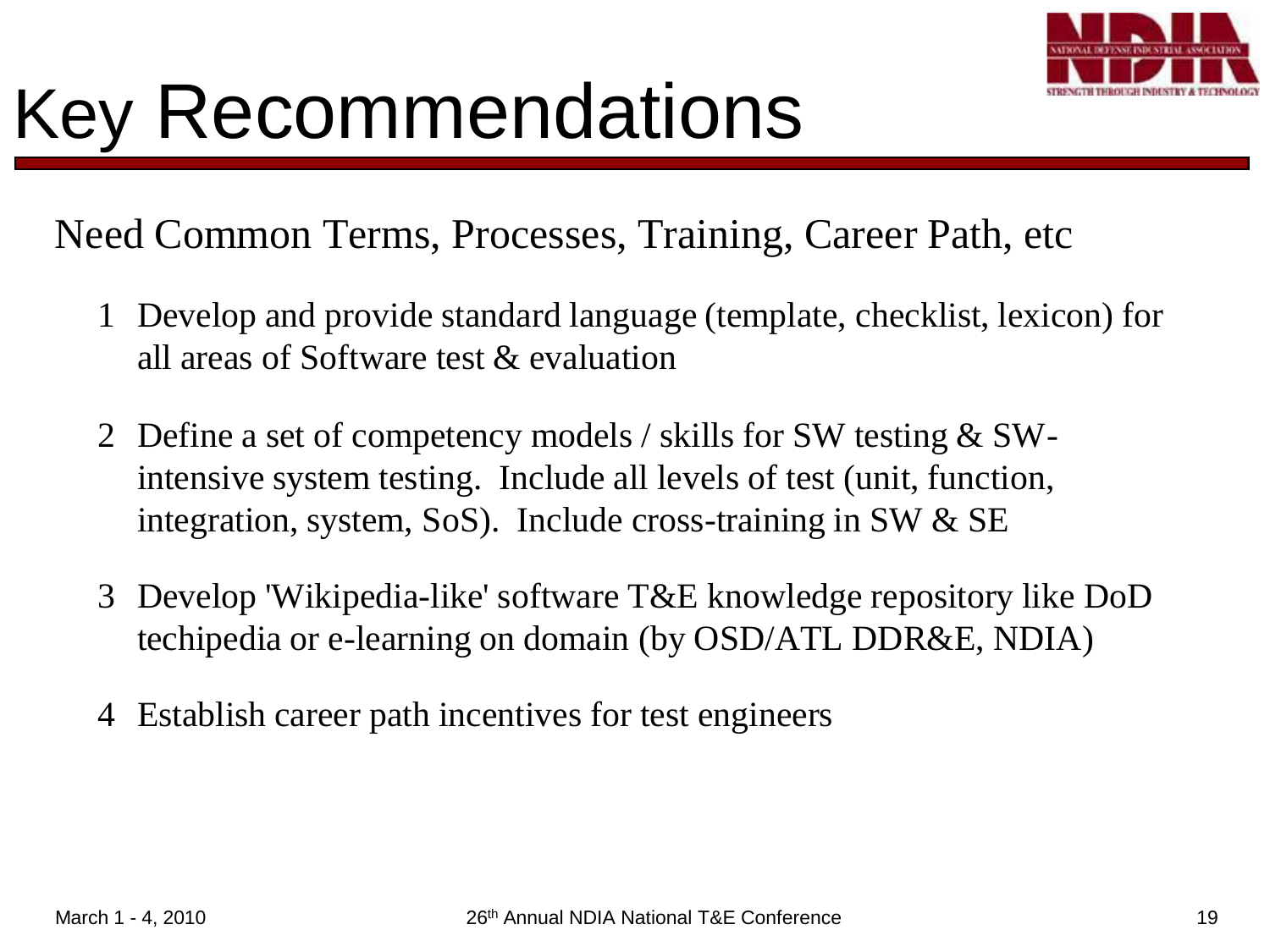

## Key Recommendations

Need Common Terms, Processes, Training, Career Path, etc

- 1 Develop and provide standard language (template, checklist, lexicon) for all areas of Software test & evaluation
- 2 Define a set of competency models / skills for SW testing & SWintensive system testing. Include all levels of test (unit, function, integration, system, SoS). Include cross-training in SW & SE
- 3 Develop 'Wikipedia-like' software T&E knowledge repository like DoD techipedia or e-learning on domain (by OSD/ATL DDR&E, NDIA)
- 4 Establish career path incentives for test engineers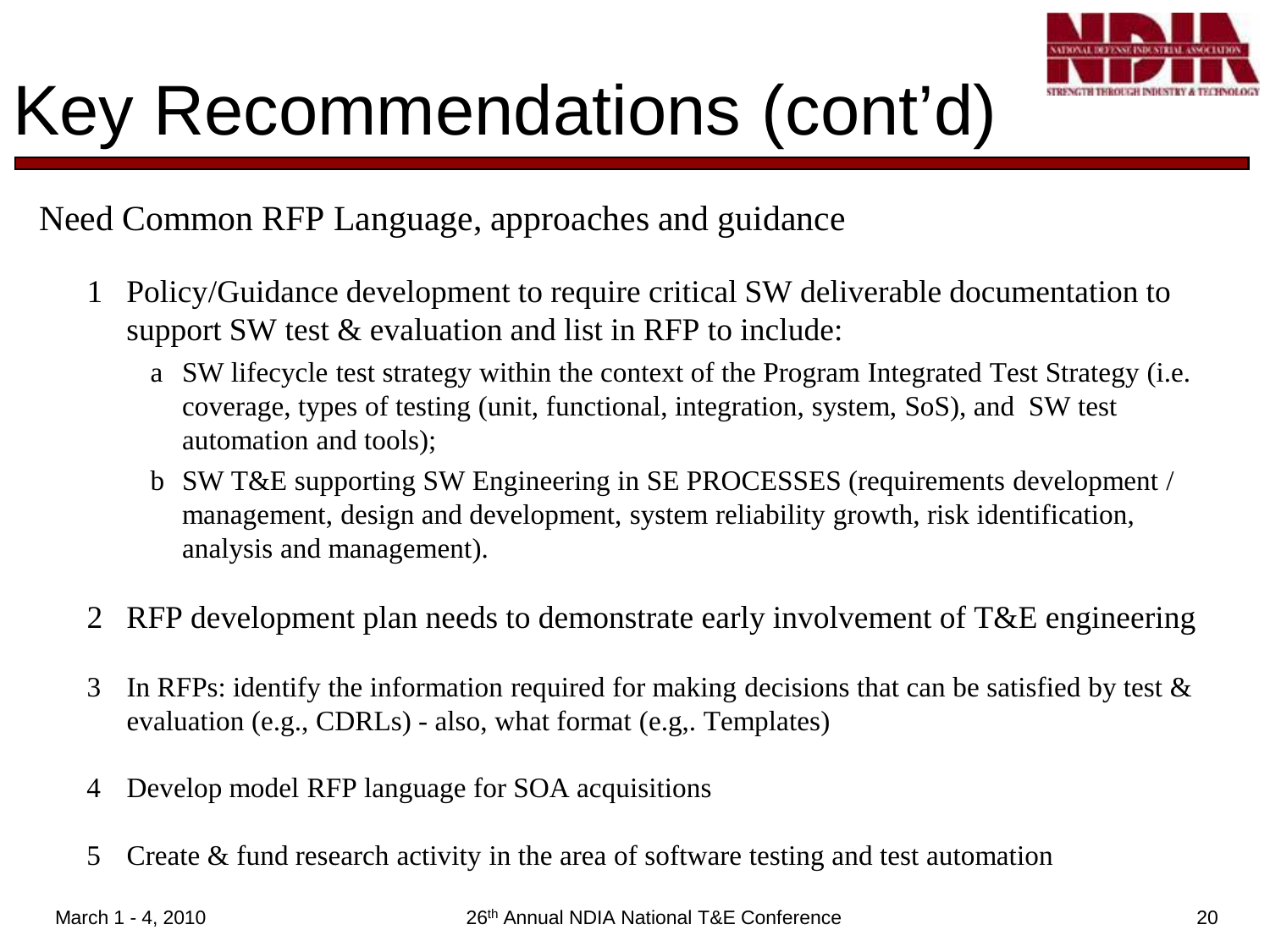

### Key Recommendations (cont'd)

Need Common RFP Language, approaches and guidance

- 1 Policy/Guidance development to require critical SW deliverable documentation to support SW test & evaluation and list in RFP to include:
	- a SW lifecycle test strategy within the context of the Program Integrated Test Strategy (i.e. coverage, types of testing (unit, functional, integration, system, SoS), and SW test automation and tools);
	- b SW T&E supporting SW Engineering in SE PROCESSES (requirements development / management, design and development, system reliability growth, risk identification, analysis and management).
- 2 RFP development plan needs to demonstrate early involvement of T&E engineering
- 3 In RFPs: identify the information required for making decisions that can be satisfied by test  $\&$ evaluation (e.g., CDRLs) - also, what format (e.g,. Templates)
- 4 Develop model RFP language for SOA acquisitions
- 5 Create & fund research activity in the area of software testing and test automation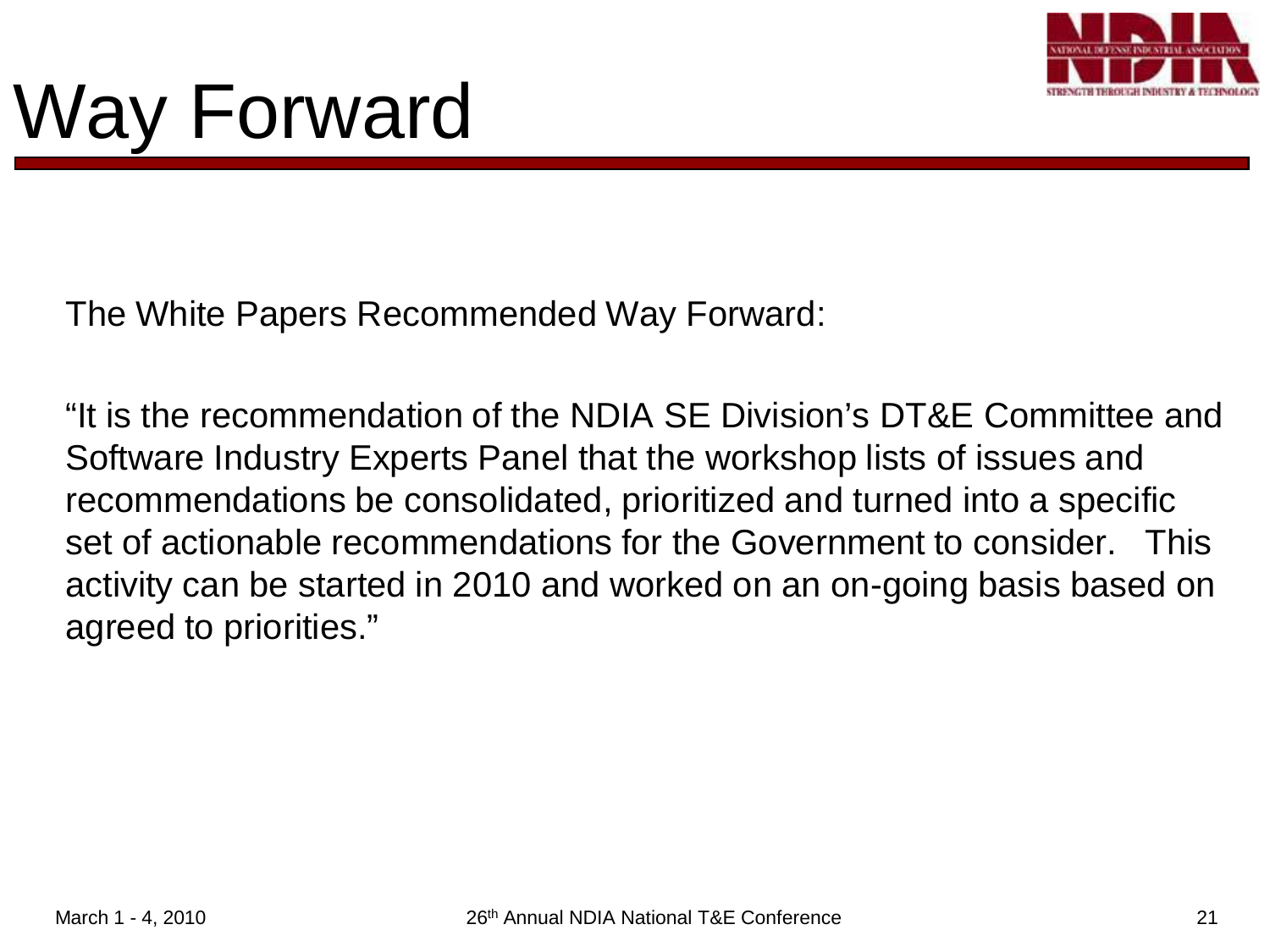

# Way Forward

The White Papers Recommended Way Forward:

"It is the recommendation of the NDIA SE Division's DT&E Committee and Software Industry Experts Panel that the workshop lists of issues and recommendations be consolidated, prioritized and turned into a specific set of actionable recommendations for the Government to consider. This activity can be started in 2010 and worked on an on-going basis based on agreed to priorities."